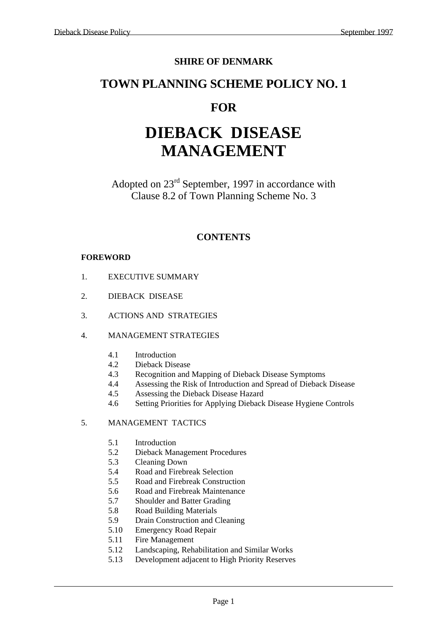#### **SHIRE OF DENMARK**

### **TOWN PLANNING SCHEME POLICY NO. 1**

## **FOR**

# **DIEBACK DISEASE MANAGEMENT**

Adopted on 23rd September, 1997 in accordance with Clause 8.2 of Town Planning Scheme No. 3

#### **CONTENTS**

#### **FOREWORD**

- 1. EXECUTIVE SUMMARY
- 2. DIEBACK DISEASE
- 3. ACTIONS AND STRATEGIES
- 4. MANAGEMENT STRATEGIES
	- 4.1 Introduction
	- 4.2 Dieback Disease
	- 4.3 Recognition and Mapping of Dieback Disease Symptoms
	- 4.4 Assessing the Risk of Introduction and Spread of Dieback Disease
	- 4.5 Assessing the Dieback Disease Hazard
	- 4.6 Setting Priorities for Applying Dieback Disease Hygiene Controls

#### 5. MANAGEMENT TACTICS

- 5.1 Introduction
- 5.2 Dieback Management Procedures
- 5.3 Cleaning Down
- 5.4 Road and Firebreak Selection
- 5.5 Road and Firebreak Construction
- 5.6 Road and Firebreak Maintenance
- 5.7 Shoulder and Batter Grading
- 5.8 Road Building Materials
- 5.9 Drain Construction and Cleaning
- 5.10 Emergency Road Repair
- 5.11 Fire Management
- 5.12 Landscaping, Rehabilitation and Similar Works
- 5.13 Development adjacent to High Priority Reserves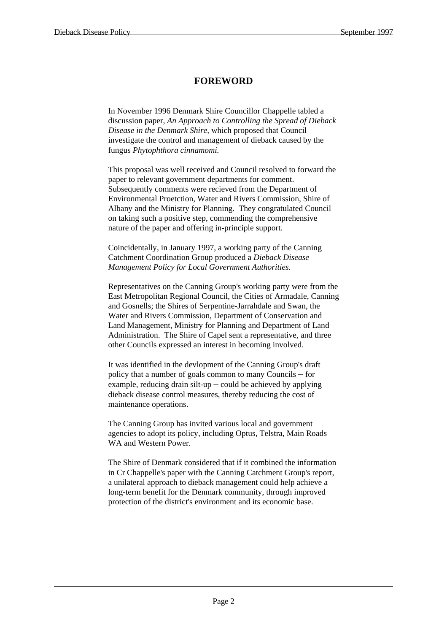#### **FOREWORD**

 In November 1996 Denmark Shire Councillor Chappelle tabled a discussion paper, *An Approach to Controlling the Spread of Dieback Disease in the Denmark Shire,* which proposed that Council investigate the control and management of dieback caused by the fungus *Phytophthora cinnamomi.*

 This proposal was well received and Council resolved to forward the paper to relevant government departments for comment. Subsequently comments were recieved from the Department of Environmental Proetction, Water and Rivers Commission, Shire of Albany and the Ministry for Planning. They congratulated Council on taking such a positive step, commending the comprehensive nature of the paper and offering in-principle support.

 Coincidentally, in January 1997, a working party of the Canning Catchment Coordination Group produced a *Dieback Disease Management Policy for Local Government Authorities.*

 Representatives on the Canning Group's working party were from the East Metropolitan Regional Council, the Cities of Armadale, Canning and Gosnells; the Shires of Serpentine-Jarrahdale and Swan, the Water and Rivers Commission, Department of Conservation and Land Management, Ministry for Planning and Department of Land Administration. The Shire of Capel sent a representative, and three other Councils expressed an interest in becoming involved.

 It was identified in the devlopment of the Canning Group's draft policy that a number of goals common to many Councils ─ for example, reducing drain silt-up  $-\text{could}$  be achieved by applying dieback disease control measures, thereby reducing the cost of maintenance operations.

 The Canning Group has invited various local and government agencies to adopt its policy, including Optus, Telstra, Main Roads WA and Western Power.

 The Shire of Denmark considered that if it combined the information in Cr Chappelle's paper with the Canning Catchment Group's report, a unilateral approach to dieback management could help achieve a long-term benefit for the Denmark community, through improved protection of the district's environment and its economic base.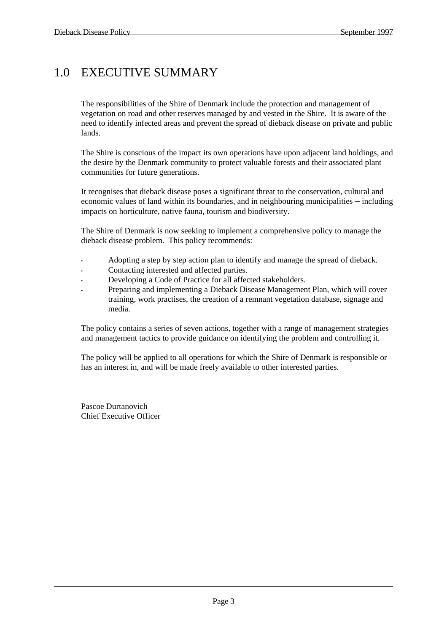# 1.0 EXECUTIVE SUMMARY

 The responsibilities of the Shire of Denmark include the protection and management of vegetation on road and other reserves managed by and vested in the Shire. It is aware of the need to identify infected areas and prevent the spread of dieback disease on private and public lands.

 The Shire is conscious of the impact its own operations have upon adjacent land holdings, and the desire by the Denmark community to protect valuable forests and their associated plant communities for future generations.

 It recognises that dieback disease poses a significant threat to the conservation, cultural and economic values of land within its boundaries, and in neighbouring municipalities — including impacts on horticulture, native fauna, tourism and biodiversity.

 The Shire of Denmark is now seeking to implement a comprehensive policy to manage the dieback disease problem. This policy recommends:

- Adopting a step by step action plan to identify and manage the spread of dieback.
- Contacting interested and affected parties.
- Developing a Code of Practice for all affected stakeholders.
- Preparing and implementing a Dieback Disease Management Plan, which will cover training, work practises, the creation of a remnant vegetation database, signage and media.

 The policy contains a series of seven actions, together with a range of management strategies and management tactics to provide guidance on identifying the problem and controlling it.

 The policy will be applied to all operations for which the Shire of Denmark is responsible or has an interest in, and will be made freely available to other interested parties.

 Pascoe Durtanovich Chief Executive Officer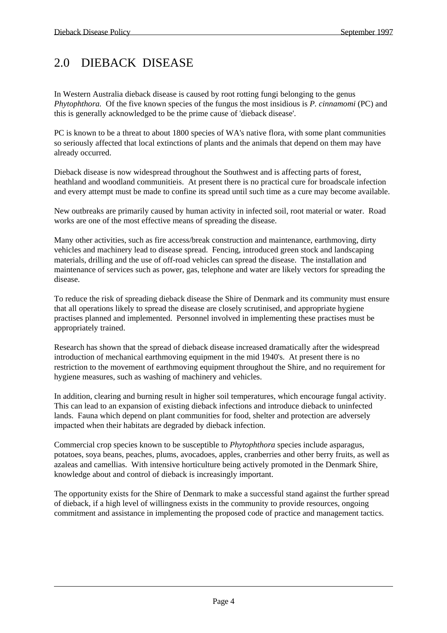# 2.0 DIEBACK DISEASE

In Western Australia dieback disease is caused by root rotting fungi belonging to the genus *Phytophthora.* Of the five known species of the fungus the most insidious is *P. cinnamomi* (PC) and this is generally acknowledged to be the prime cause of 'dieback disease'.

PC is known to be a threat to about 1800 species of WA's native flora, with some plant communities so seriously affected that local extinctions of plants and the animals that depend on them may have already occurred.

Dieback disease is now widespread throughout the Southwest and is affecting parts of forest, heathland and woodland communitieis. At present there is no practical cure for broadscale infection and every attempt must be made to confine its spread until such time as a cure may become available.

New outbreaks are primarily caused by human activity in infected soil, root material or water. Road works are one of the most effective means of spreading the disease.

Many other activities, such as fire access/break construction and maintenance, earthmoving, dirty vehicles and machinery lead to disease spread. Fencing, introduced green stock and landscaping materials, drilling and the use of off-road vehicles can spread the disease. The installation and maintenance of services such as power, gas, telephone and water are likely vectors for spreading the disease.

To reduce the risk of spreading dieback disease the Shire of Denmark and its community must ensure that all operations likely to spread the disease are closely scrutinised, and appropriate hygiene practises planned and implemented. Personnel involved in implementing these practises must be appropriately trained.

Research has shown that the spread of dieback disease increased dramatically after the widespread introduction of mechanical earthmoving equipment in the mid 1940's. At present there is no restriction to the movement of earthmoving equipment throughout the Shire, and no requirement for hygiene measures, such as washing of machinery and vehicles.

In addition, clearing and burning result in higher soil temperatures, which encourage fungal activity. This can lead to an expansion of existing dieback infections and introduce dieback to uninfected lands. Fauna which depend on plant communities for food, shelter and protection are adversely impacted when their habitats are degraded by dieback infection.

Commercial crop species known to be susceptible to *Phytophthora* species include asparagus, potatoes, soya beans, peaches, plums, avocadoes, apples, cranberries and other berry fruits, as well as azaleas and camellias. With intensive horticulture being actively promoted in the Denmark Shire, knowledge about and control of dieback is increasingly important.

The opportunity exists for the Shire of Denmark to make a successful stand against the further spread of dieback, if a high level of willingness exists in the community to provide resources, ongoing commitment and assistance in implementing the proposed code of practice and management tactics.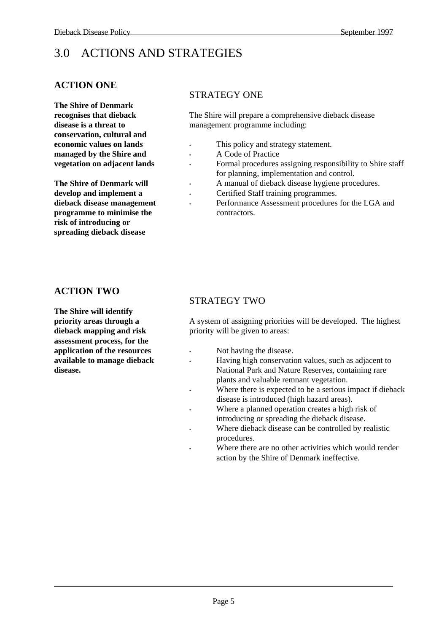# 3.0 ACTIONS AND STRATEGIES

#### **ACTION ONE**

**The Shire of Denmark recognises that dieback disease is a threat to conservation, cultural and economic values on lands managed by the Shire and vegetation on adjacent lands** 

**The Shire of Denmark will develop and implement a dieback disease management programme to minimise the risk of introducing or spreading dieback disease**

#### STRATEGY ONE

The Shire will prepare a comprehensive dieback disease management programme including:

- This policy and strategy statement.
	- A Code of Practice
	- Formal procedures assigning responsibility to Shire staff for planning, implementation and control.
		- A manual of dieback disease hygiene procedures.
- Certified Staff training programmes.
	- Performance Assessment procedures for the LGA and contractors.

#### **ACTION TWO**

**The Shire will identify priority areas through a dieback mapping and risk assessment process, for the application of the resources available to manage dieback disease.**

#### STRATEGY TWO

A system of assigning priorities will be developed. The highest priority will be given to areas:

- Not having the disease.
- Having high conservation values, such as adjacent to National Park and Nature Reserves, containing rare plants and valuable remnant vegetation.
- Where there is expected to be a serious impact if dieback disease is introduced (high hazard areas).
- Where a planned operation creates a high risk of introducing or spreading the dieback disease.
- Where dieback disease can be controlled by realistic procedures.
- Where there are no other activities which would render action by the Shire of Denmark ineffective.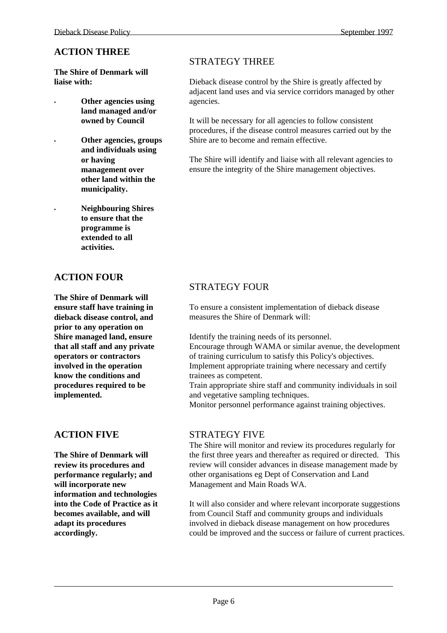**The Shire of Denmark will liaise with:** 

**• Other agencies using land managed and/or owned by Council** 

> **• Other agencies, groups and individuals using or having management over other land within the municipality.**

**• Neighbouring Shires to ensure that the programme is extended to all activities.** 

#### **ACTION FOUR**

**The Shire of Denmark will ensure staff have training in dieback disease control, and prior to any operation on Shire managed land, ensure that all staff and any private operators or contractors involved in the operation know the conditions and procedures required to be implemented.**

#### **ACTION FIVE**

**The Shire of Denmark will review its procedures and performance regularly; and will incorporate new information and technologies into the Code of Practice as it becomes available, and will adapt its procedures accordingly.**

#### STRATEGY THREE

Dieback disease control by the Shire is greatly affected by adjacent land uses and via service corridors managed by other agencies.

It will be necessary for all agencies to follow consistent procedures, if the disease control measures carried out by the Shire are to become and remain effective.

The Shire will identify and liaise with all relevant agencies to ensure the integrity of the Shire management objectives.

#### STRATEGY FOUR

To ensure a consistent implementation of dieback disease measures the Shire of Denmark will:

Identify the training needs of its personnel.

Encourage through WAMA or similar avenue, the development of training curriculum to satisfy this Policy's objectives. Implement appropriate training where necessary and certify trainees as competent.

Train appropriate shire staff and community individuals in soil and vegetative sampling techniques.

Monitor personnel performance against training objectives.

#### STRATEGY FIVE

The Shire will monitor and review its procedures regularly for the first three years and thereafter as required or directed. This review will consider advances in disease management made by other organisations eg Dept of Conservation and Land Management and Main Roads WA.

It will also consider and where relevant incorporate suggestions from Council Staff and community groups and individuals involved in dieback disease management on how procedures could be improved and the success or failure of current practices.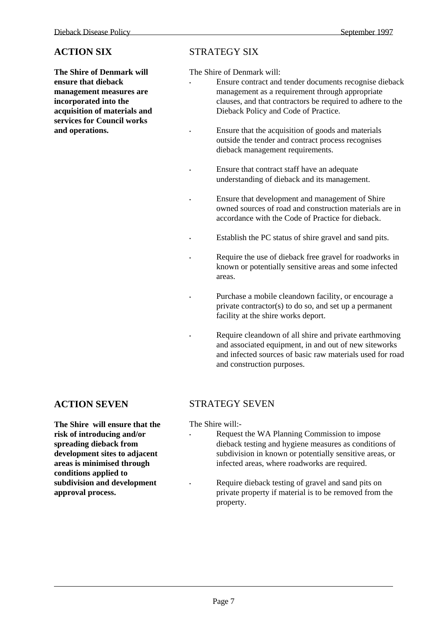#### **ACTION SIX**

**The Shire of Denmark will ensure that dieback management measures are incorporated into the acquisition of materials and services for Council works and operations.**

#### STRATEGY SIX

The Shire of Denmark will:

- Ensure contract and tender documents recognise dieback management as a requirement through appropriate clauses, and that contractors be required to adhere to the Dieback Policy and Code of Practice.
	- Ensure that the acquisition of goods and materials outside the tender and contract process recognises dieback management requirements.
- Ensure that contract staff have an adequate understanding of dieback and its management.
- Ensure that development and management of Shire owned sources of road and construction materials are in accordance with the Code of Practice for dieback.
- Establish the PC status of shire gravel and sand pits.
- Require the use of dieback free gravel for roadworks in known or potentially sensitive areas and some infected areas.
- Purchase a mobile cleandown facility, or encourage a private contractor(s) to do so, and set up a permanent facility at the shire works deport.
	- Require cleandown of all shire and private earthmoving and associated equipment, in and out of new siteworks and infected sources of basic raw materials used for road and construction purposes.

#### **ACTION SEVEN**

#### STRATEGY SEVEN

The Shire will:-

- Request the WA Planning Commission to impose dieback testing and hygiene measures as conditions of subdivision in known or potentially sensitive areas, or infected areas, where roadworks are required.
	- Require dieback testing of gravel and sand pits on private property if material is to be removed from the property.

**The Shire will ensure that the risk of introducing and/or spreading dieback from development sites to adjacent areas is minimised through conditions applied to subdivision and development approval process.**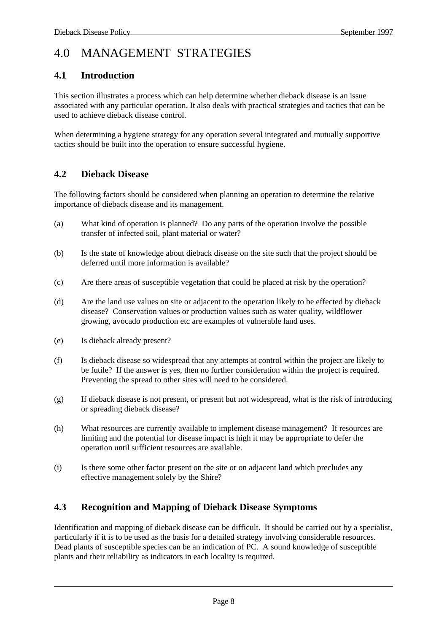# 4.0 MANAGEMENT STRATEGIES

#### **4.1 Introduction**

This section illustrates a process which can help determine whether dieback disease is an issue associated with any particular operation. It also deals with practical strategies and tactics that can be used to achieve dieback disease control.

When determining a hygiene strategy for any operation several integrated and mutually supportive tactics should be built into the operation to ensure successful hygiene.

#### **4.2 Dieback Disease**

The following factors should be considered when planning an operation to determine the relative importance of dieback disease and its management.

- (a) What kind of operation is planned? Do any parts of the operation involve the possible transfer of infected soil, plant material or water?
- (b) Is the state of knowledge about dieback disease on the site such that the project should be deferred until more information is available?
- (c) Are there areas of susceptible vegetation that could be placed at risk by the operation?
- (d) Are the land use values on site or adjacent to the operation likely to be effected by dieback disease? Conservation values or production values such as water quality, wildflower growing, avocado production etc are examples of vulnerable land uses.
- (e) Is dieback already present?
- (f) Is dieback disease so widespread that any attempts at control within the project are likely to be futile? If the answer is yes, then no further consideration within the project is required. Preventing the spread to other sites will need to be considered.
- (g) If dieback disease is not present, or present but not widespread, what is the risk of introducing or spreading dieback disease?
- (h) What resources are currently available to implement disease management? If resources are limiting and the potential for disease impact is high it may be appropriate to defer the operation until sufficient resources are available.
- (i) Is there some other factor present on the site or on adjacent land which precludes any effective management solely by the Shire?

#### **4.3 Recognition and Mapping of Dieback Disease Symptoms**

Identification and mapping of dieback disease can be difficult. It should be carried out by a specialist, particularly if it is to be used as the basis for a detailed strategy involving considerable resources. Dead plants of susceptible species can be an indication of PC. A sound knowledge of susceptible plants and their reliability as indicators in each locality is required.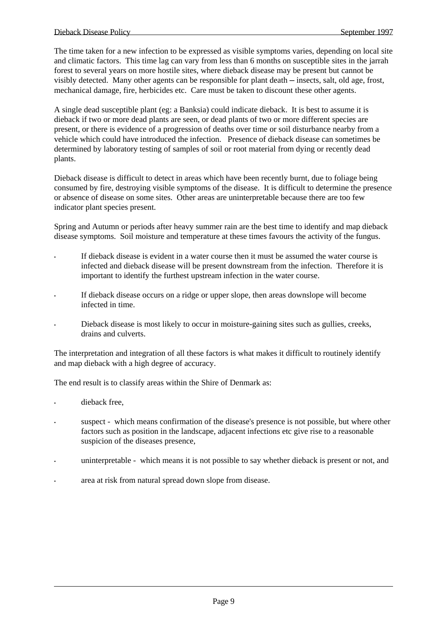The time taken for a new infection to be expressed as visible symptoms varies, depending on local site and climatic factors. This time lag can vary from less than 6 months on susceptible sites in the jarrah forest to several years on more hostile sites, where dieback disease may be present but cannot be visibly detected. Many other agents can be responsible for plant death ─ insects, salt, old age, frost, mechanical damage, fire, herbicides etc. Care must be taken to discount these other agents.

A single dead susceptible plant (eg: a Banksia) could indicate dieback. It is best to assume it is dieback if two or more dead plants are seen, or dead plants of two or more different species are present, or there is evidence of a progression of deaths over time or soil disturbance nearby from a vehicle which could have introduced the infection. Presence of dieback disease can sometimes be determined by laboratory testing of samples of soil or root material from dying or recently dead plants.

Dieback disease is difficult to detect in areas which have been recently burnt, due to foliage being consumed by fire, destroying visible symptoms of the disease. It is difficult to determine the presence or absence of disease on some sites. Other areas are uninterpretable because there are too few indicator plant species present.

Spring and Autumn or periods after heavy summer rain are the best time to identify and map dieback disease symptoms. Soil moisture and temperature at these times favours the activity of the fungus.

- If dieback disease is evident in a water course then it must be assumed the water course is infected and dieback disease will be present downstream from the infection. Therefore it is important to identify the furthest upstream infection in the water course.
- If dieback disease occurs on a ridge or upper slope, then areas downslope will become infected in time.
- Dieback disease is most likely to occur in moisture-gaining sites such as gullies, creeks, drains and culverts.

The interpretation and integration of all these factors is what makes it difficult to routinely identify and map dieback with a high degree of accuracy.

The end result is to classify areas within the Shire of Denmark as:

- dieback free.
- suspect which means confirmation of the disease's presence is not possible, but where other factors such as position in the landscape, adjacent infections etc give rise to a reasonable suspicion of the diseases presence,
- uninterpretable which means it is not possible to say whether dieback is present or not, and
- area at risk from natural spread down slope from disease.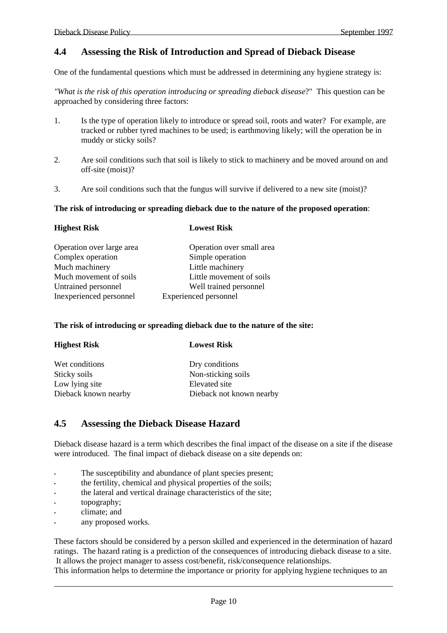#### **4.4 Assessing the Risk of Introduction and Spread of Dieback Disease**

One of the fundamental questions which must be addressed in determining any hygiene strategy is:

*"What is the risk of this operation introducing or spreading dieback disease*?" This question can be approached by considering three factors:

- 1. Is the type of operation likely to introduce or spread soil, roots and water? For example, are tracked or rubber tyred machines to be used; is earthmoving likely; will the operation be in muddy or sticky soils?
- 2. Are soil conditions such that soil is likely to stick to machinery and be moved around on and off-site (moist)?
- 3. Are soil conditions such that the fungus will survive if delivered to a new site (moist)?

#### **The risk of introducing or spreading dieback due to the nature of the proposed operation**:

| <b>Lowest Risk</b>           |
|------------------------------|
| Operation over small area    |
| Simple operation             |
| Little machinery             |
| Little movement of soils     |
| Well trained personnel       |
| <b>Experienced personnel</b> |
|                              |

#### **The risk of introducing or spreading dieback due to the nature of the site:**

| <b>Highest Risk</b>  | <b>Lowest Risk</b>       |
|----------------------|--------------------------|
| Wet conditions       | Dry conditions           |
| Sticky soils         | Non-sticking soils       |
| Low lying site       | Elevated site            |
| Dieback known nearby | Dieback not known nearby |

#### **4.5 Assessing the Dieback Disease Hazard**

Dieback disease hazard is a term which describes the final impact of the disease on a site if the disease were introduced. The final impact of dieback disease on a site depends on:

- The susceptibility and abundance of plant species present;
- the fertility, chemical and physical properties of the soils;
- the lateral and vertical drainage characteristics of the site;
- topography;
- climate; and
- any proposed works.

These factors should be considered by a person skilled and experienced in the determination of hazard ratings. The hazard rating is a prediction of the consequences of introducing dieback disease to a site. It allows the project manager to assess cost/benefit, risk/consequence relationships.

 $\_$  , and the state of the state of the state of the state of the state of the state of the state of the state of the state of the state of the state of the state of the state of the state of the state of the state of the This information helps to determine the importance or priority for applying hygiene techniques to an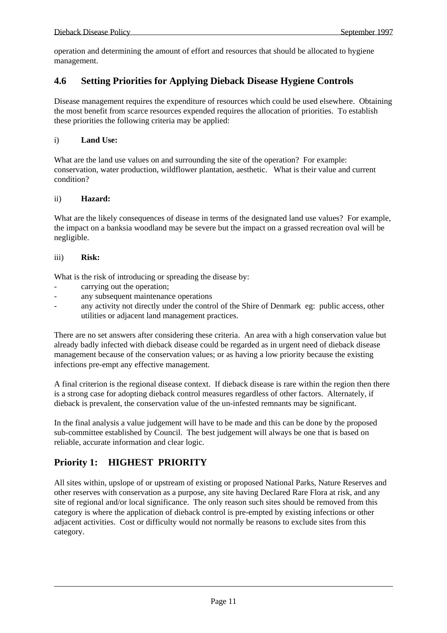operation and determining the amount of effort and resources that should be allocated to hygiene management.

#### **4.6 Setting Priorities for Applying Dieback Disease Hygiene Controls**

Disease management requires the expenditure of resources which could be used elsewhere. Obtaining the most benefit from scarce resources expended requires the allocation of priorities. To establish these priorities the following criteria may be applied:

#### i) **Land Use:**

What are the land use values on and surrounding the site of the operation? For example: conservation, water production, wildflower plantation, aesthetic. What is their value and current condition?

#### ii) **Hazard:**

What are the likely consequences of disease in terms of the designated land use values? For example, the impact on a banksia woodland may be severe but the impact on a grassed recreation oval will be negligible.

#### iii) **Risk:**

What is the risk of introducing or spreading the disease by:

- carrying out the operation;
- any subsequent maintenance operations
- any activity not directly under the control of the Shire of Denmark eg: public access, other utilities or adjacent land management practices.

There are no set answers after considering these criteria. An area with a high conservation value but already badly infected with dieback disease could be regarded as in urgent need of dieback disease management because of the conservation values; or as having a low priority because the existing infections pre-empt any effective management.

A final criterion is the regional disease context. If dieback disease is rare within the region then there is a strong case for adopting dieback control measures regardless of other factors. Alternately, if dieback is prevalent, the conservation value of the un-infested remnants may be significant.

In the final analysis a value judgement will have to be made and this can be done by the proposed sub-committee established by Council. The best judgement will always be one that is based on reliable, accurate information and clear logic.

#### **Priority 1: HIGHEST PRIORITY**

All sites within, upslope of or upstream of existing or proposed National Parks, Nature Reserves and other reserves with conservation as a purpose, any site having Declared Rare Flora at risk, and any site of regional and/or local significance. The only reason such sites should be removed from this category is where the application of dieback control is pre-empted by existing infections or other adjacent activities. Cost or difficulty would not normally be reasons to exclude sites from this category.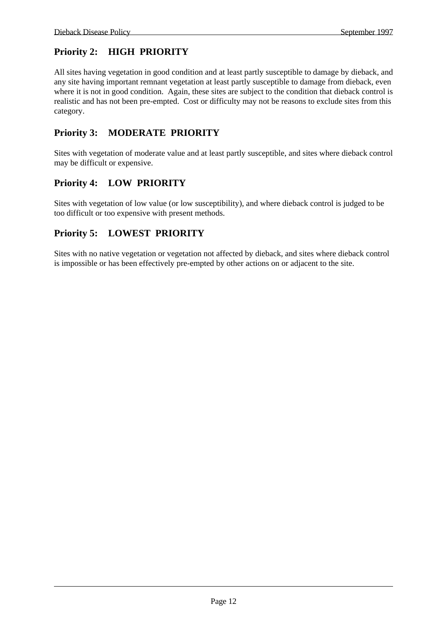### **Priority 2: HIGH PRIORITY**

All sites having vegetation in good condition and at least partly susceptible to damage by dieback, and any site having important remnant vegetation at least partly susceptible to damage from dieback, even where it is not in good condition. Again, these sites are subject to the condition that dieback control is realistic and has not been pre-empted. Cost or difficulty may not be reasons to exclude sites from this category.

### **Priority 3: MODERATE PRIORITY**

Sites with vegetation of moderate value and at least partly susceptible, and sites where dieback control may be difficult or expensive.

#### **Priority 4: LOW PRIORITY**

Sites with vegetation of low value (or low susceptibility), and where dieback control is judged to be too difficult or too expensive with present methods.

#### **Priority 5: LOWEST PRIORITY**

Sites with no native vegetation or vegetation not affected by dieback, and sites where dieback control is impossible or has been effectively pre-empted by other actions on or adjacent to the site.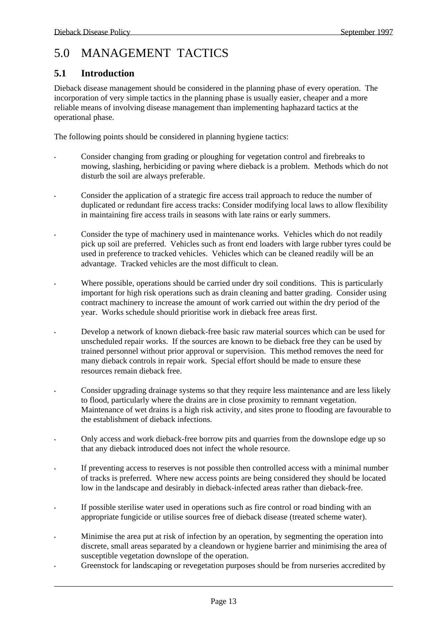# 5.0 MANAGEMENT TACTICS

#### **5.1 Introduction**

Dieback disease management should be considered in the planning phase of every operation. The incorporation of very simple tactics in the planning phase is usually easier, cheaper and a more reliable means of involving disease management than implementing haphazard tactics at the operational phase.

The following points should be considered in planning hygiene tactics:

- Consider changing from grading or ploughing for vegetation control and firebreaks to mowing, slashing, herbiciding or paving where dieback is a problem. Methods which do not disturb the soil are always preferable.
- Consider the application of a strategic fire access trail approach to reduce the number of duplicated or redundant fire access tracks: Consider modifying local laws to allow flexibility in maintaining fire access trails in seasons with late rains or early summers.
- Consider the type of machinery used in maintenance works. Vehicles which do not readily pick up soil are preferred. Vehicles such as front end loaders with large rubber tyres could be used in preference to tracked vehicles. Vehicles which can be cleaned readily will be an advantage. Tracked vehicles are the most difficult to clean.
- Where possible, operations should be carried under dry soil conditions. This is particularly important for high risk operations such as drain cleaning and batter grading. Consider using contract machinery to increase the amount of work carried out within the dry period of the year. Works schedule should prioritise work in dieback free areas first.
- Develop a network of known dieback-free basic raw material sources which can be used for unscheduled repair works. If the sources are known to be dieback free they can be used by trained personnel without prior approval or supervision. This method removes the need for many dieback controls in repair work. Special effort should be made to ensure these resources remain dieback free.
- Consider upgrading drainage systems so that they require less maintenance and are less likely to flood, particularly where the drains are in close proximity to remnant vegetation. Maintenance of wet drains is a high risk activity, and sites prone to flooding are favourable to the establishment of dieback infections.
- Only access and work dieback-free borrow pits and quarries from the downslope edge up so that any dieback introduced does not infect the whole resource.
- If preventing access to reserves is not possible then controlled access with a minimal number of tracks is preferred. Where new access points are being considered they should be located low in the landscape and desirably in dieback-infected areas rather than dieback-free.
- If possible sterilise water used in operations such as fire control or road binding with an appropriate fungicide or utilise sources free of dieback disease (treated scheme water).
- Minimise the area put at risk of infection by an operation, by segmenting the operation into discrete, small areas separated by a cleandown or hygiene barrier and minimising the area of susceptible vegetation downslope of the operation.
- Greenstock for landscaping or revegetation purposes should be from nurseries accredited by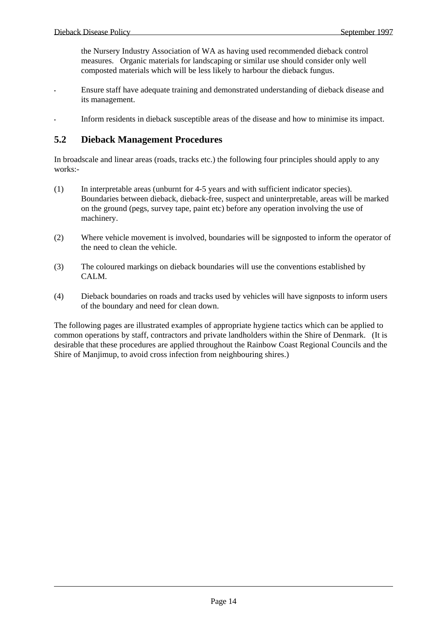the Nursery Industry Association of WA as having used recommended dieback control measures. Organic materials for landscaping or similar use should consider only well composted materials which will be less likely to harbour the dieback fungus.

- Ensure staff have adequate training and demonstrated understanding of dieback disease and its management.
- Inform residents in dieback susceptible areas of the disease and how to minimise its impact.

#### **5.2 Dieback Management Procedures**

In broadscale and linear areas (roads, tracks etc.) the following four principles should apply to any works:-

- (1) In interpretable areas (unburnt for 4-5 years and with sufficient indicator species). Boundaries between dieback, dieback-free, suspect and uninterpretable, areas will be marked on the ground (pegs, survey tape, paint etc) before any operation involving the use of machinery.
- (2) Where vehicle movement is involved, boundaries will be signposted to inform the operator of the need to clean the vehicle.
- (3) The coloured markings on dieback boundaries will use the conventions established by CALM.
- (4) Dieback boundaries on roads and tracks used by vehicles will have signposts to inform users of the boundary and need for clean down.

The following pages are illustrated examples of appropriate hygiene tactics which can be applied to common operations by staff, contractors and private landholders within the Shire of Denmark. (It is desirable that these procedures are applied throughout the Rainbow Coast Regional Councils and the Shire of Manjimup, to avoid cross infection from neighbouring shires.)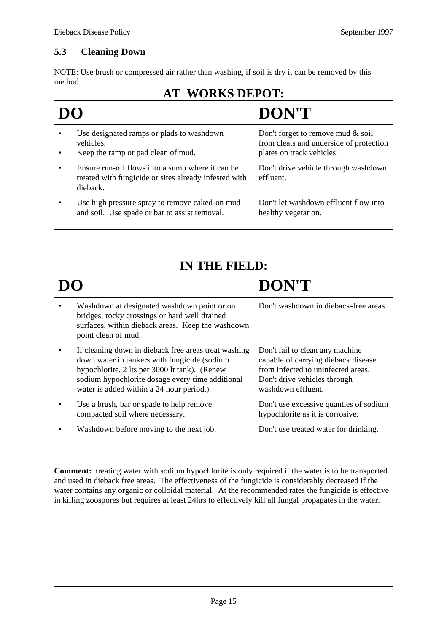#### **5.3 Cleaning Down**

NOTE: Use brush or compressed air rather than washing, if soil is dry it can be removed by this method.

## **AT WORKS DEPOT:**

- **DO DON'T**
- Use designated ramps or plads to washdown vehicles.
- Keep the ramp or pad clean of mud.
- Ensure run-off flows into a sump where it can be treated with fungicide or sites already infested with dieback.
- Use high pressure spray to remove caked-on mud and soil. Use spade or bar to assist removal.

Don't forget to remove mud & soil from cleats and underside of protection plates on track vehicles.

Don't drive vehicle through washdown effluent.

Don't let washdown effluent flow into healthy vegetation.

# **IN THE FIELD:**

# **DO DON'T**

| $\bullet$ | Washdown at designated washdown point or on       |  |
|-----------|---------------------------------------------------|--|
|           | bridges, rocky crossings or hard well drained     |  |
|           | surfaces, within dieback areas. Keep the washdown |  |
|           | point clean of mud.                               |  |

- If cleaning down in dieback free areas treat washing down water in tankers with fungicide (sodium hypochlorite, 2 lts per 3000 lt tank). (Renew sodium hypochlorite dosage every time additional water is added within a 24 hour period.)
- Use a brush, bar or spade to help remove compacted soil where necessary.
- Washdown before moving to the next job. Don't use treated water for drinking.

Don't washdown in dieback-free areas.

Don't fail to clean any machine capable of carrying dieback disease from infected to uninfected areas. Don't drive vehicles through washdown effluent.

Don't use excessive quanties of sodium hypochlorite as it is corrosive.

**Comment:** treating water with sodium hypochlorite is only required if the water is to be transported and used in dieback free areas. The effectiveness of the fungicide is considerably decreased if the water contains any organic or colloidal material. At the recommended rates the fungicide is effective in killing zoospores but requires at least 24hrs to effectively kill all fungal propagates in the water.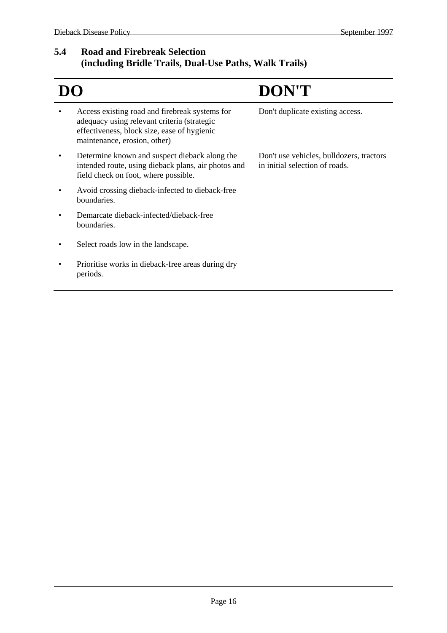#### **5.4 Road and Firebreak Selection (including Bridle Trails, Dual-Use Paths, Walk Trails)**

|                                                                                                                                                                              | <b>DON'T</b>                                                               |
|------------------------------------------------------------------------------------------------------------------------------------------------------------------------------|----------------------------------------------------------------------------|
| Access existing road and firebreak systems for<br>adequacy using relevant criteria (strategic<br>effectiveness, block size, ease of hygienic<br>maintenance, erosion, other) | Don't duplicate existing access.                                           |
| Determine known and suspect dieback along the<br>intended route, using dieback plans, air photos and<br>field check on foot, where possible.                                 | Don't use vehicles, bulldozers, tractors<br>in initial selection of roads. |
| Avoid crossing dieback-infected to dieback-free<br>boundaries.                                                                                                               |                                                                            |
| Demarcate dieback-infected/dieback-free<br>boundaries.                                                                                                                       |                                                                            |
| Select roads low in the landscape.                                                                                                                                           |                                                                            |
| Prioritise works in dieback-free areas during dry<br>periods.                                                                                                                |                                                                            |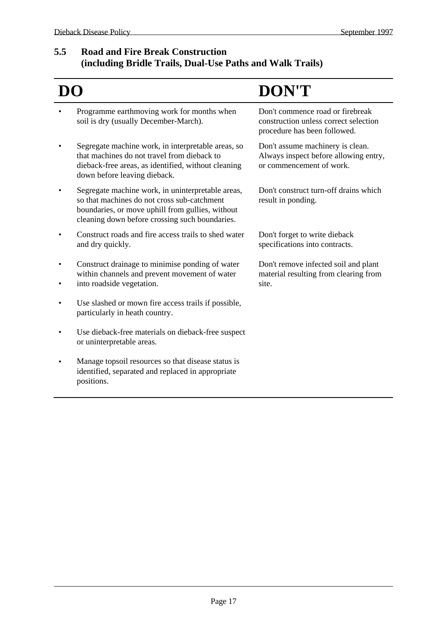#### **5.5 Road and Fire Break Construction (including Bridle Trails, Dual-Use Paths and Walk Trails)**

# **DO DON'T**

- Programme earthmoving work for months when soil is dry (usually December-March).
- Segregate machine work, in interpretable areas, so that machines do not travel from dieback to dieback-free areas, as identified, without cleaning down before leaving dieback.
- Segregate machine work, in uninterpretable areas, so that machines do not cross sub-catchment boundaries, or move uphill from gullies, without cleaning down before crossing such boundaries.
- Construct roads and fire access trails to shed water and dry quickly.
- Construct drainage to minimise ponding of water within channels and prevent movement of water
- into roadside vegetation.
- Use slashed or mown fire access trails if possible, particularly in heath country.
- Use dieback-free materials on dieback-free suspect or uninterpretable areas.
- Manage topsoil resources so that disease status is identified, separated and replaced in appropriate positions.

Don't commence road or firebreak construction unless correct selection procedure has been followed.

Don't assume machinery is clean. Always inspect before allowing entry, or commencement of work.

Don't construct turn-off drains which result in ponding.

Don't forget to write dieback specifications into contracts.

Don't remove infected soil and plant material resulting from clearing from site.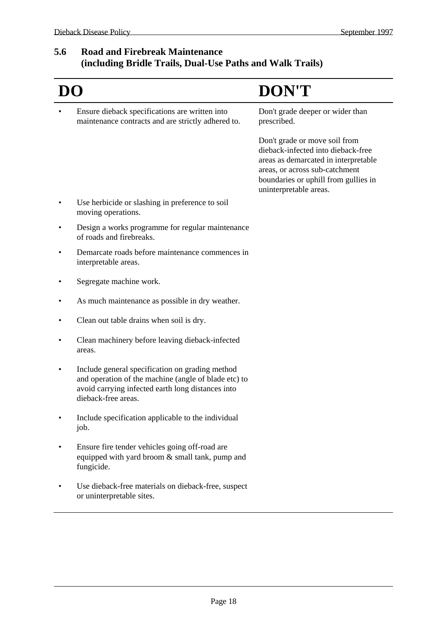#### **5.6 Road and Firebreak Maintenance (including Bridle Trails, Dual-Use Paths and Walk Trails)**

|                                                                                                                                                                                     | <b>DON'T</b>                                                                                                                                                                                                    |
|-------------------------------------------------------------------------------------------------------------------------------------------------------------------------------------|-----------------------------------------------------------------------------------------------------------------------------------------------------------------------------------------------------------------|
| Ensure dieback specifications are written into<br>maintenance contracts and are strictly adhered to.                                                                                | Don't grade deeper or wider than<br>prescribed.                                                                                                                                                                 |
|                                                                                                                                                                                     | Don't grade or move soil from<br>dieback-infected into dieback-free<br>areas as demarcated in interpretable<br>areas, or across sub-catchment<br>boundaries or uphill from gullies in<br>uninterpretable areas. |
| Use herbicide or slashing in preference to soil<br>moving operations.                                                                                                               |                                                                                                                                                                                                                 |
| Design a works programme for regular maintenance<br>of roads and firebreaks.                                                                                                        |                                                                                                                                                                                                                 |
| Demarcate roads before maintenance commences in<br>interpretable areas.                                                                                                             |                                                                                                                                                                                                                 |
| Segregate machine work.                                                                                                                                                             |                                                                                                                                                                                                                 |
| As much maintenance as possible in dry weather.                                                                                                                                     |                                                                                                                                                                                                                 |
| Clean out table drains when soil is dry.                                                                                                                                            |                                                                                                                                                                                                                 |
| Clean machinery before leaving dieback-infected<br>areas.                                                                                                                           |                                                                                                                                                                                                                 |
| Include general specification on grading method<br>and operation of the machine (angle of blade etc) to<br>avoid carrying infected earth long distances into<br>dieback-free areas. |                                                                                                                                                                                                                 |
| Include specification applicable to the individual<br>job.                                                                                                                          |                                                                                                                                                                                                                 |
| Ensure fire tender vehicles going off-road are<br>equipped with yard broom & small tank, pump and<br>fungicide.                                                                     |                                                                                                                                                                                                                 |
| Use dieback-free materials on dieback-free, suspect<br>or uninterpretable sites.                                                                                                    |                                                                                                                                                                                                                 |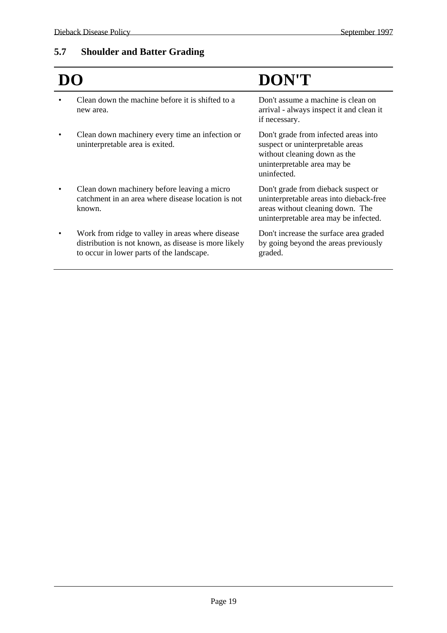## **5.7 Shoulder and Batter Grading**

|                                                                                                                                                       | DON'T                                                                                                                                                       |
|-------------------------------------------------------------------------------------------------------------------------------------------------------|-------------------------------------------------------------------------------------------------------------------------------------------------------------|
| Clean down the machine before it is shifted to a<br>new area.                                                                                         | Don't assume a machine is clean on<br>arrival - always inspect it and clean it<br>if necessary.                                                             |
| Clean down machinery every time an infection or<br>uninterpretable area is exited.                                                                    | Don't grade from infected areas into<br>suspect or uninterpretable areas<br>without cleaning down as the<br>uninterpretable area may be<br>uninfected.      |
| Clean down machinery before leaving a micro<br>catchment in an area where disease location is not<br>known.                                           | Don't grade from dieback suspect or<br>uninterpretable areas into dieback-free<br>areas without cleaning down. The<br>uninterpretable area may be infected. |
| Work from ridge to valley in areas where disease<br>distribution is not known, as disease is more likely<br>to occur in lower parts of the landscape. | Don't increase the surface area graded<br>by going beyond the areas previously<br>graded.                                                                   |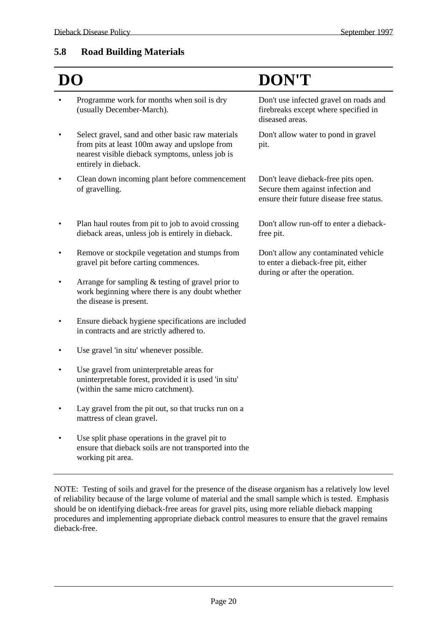#### **5.8 Road Building Materials**

|                                                                                                                                                                               | DON'T                                                                                                                |
|-------------------------------------------------------------------------------------------------------------------------------------------------------------------------------|----------------------------------------------------------------------------------------------------------------------|
| Programme work for months when soil is dry<br>(usually December-March).                                                                                                       | Don't use infected gravel on roads and<br>firebreaks except where specified in<br>diseased areas.                    |
| Select gravel, sand and other basic raw materials<br>from pits at least 100m away and upslope from<br>nearest visible dieback symptoms, unless job is<br>entirely in dieback. | Don't allow water to pond in gravel<br>pit.                                                                          |
| Clean down incoming plant before commencement<br>of gravelling.                                                                                                               | Don't leave dieback-free pits open.<br>Secure them against infection and<br>ensure their future disease free status. |
| Plan haul routes from pit to job to avoid crossing<br>dieback areas, unless job is entirely in dieback.                                                                       | Don't allow run-off to enter a dieback-<br>free pit.                                                                 |
| Remove or stockpile vegetation and stumps from<br>gravel pit before carting commences.                                                                                        | Don't allow any contaminated vehicle<br>to enter a dieback-free pit, either<br>during or after the operation.        |
| Arrange for sampling $&$ testing of gravel prior to<br>work beginning where there is any doubt whether<br>the disease is present.                                             |                                                                                                                      |
| Ensure dieback hygiene specifications are included<br>in contracts and are strictly adhered to.                                                                               |                                                                                                                      |
| Use gravel 'in situ' whenever possible.                                                                                                                                       |                                                                                                                      |
| Use gravel from uninterpretable areas for<br>uninterpretable forest, provided it is used 'in situ'<br>(within the same micro catchment).                                      |                                                                                                                      |
| Lay gravel from the pit out, so that trucks run on a<br>mattress of clean gravel.                                                                                             |                                                                                                                      |
| Use split phase operations in the gravel pit to<br>ensure that dieback soils are not transported into the<br>working pit area.                                                |                                                                                                                      |

NOTE: Testing of soils and gravel for the presence of the disease organism has a relatively low level of reliability because of the large volume of material and the small sample which is tested. Emphasis should be on identifying dieback-free areas for gravel pits, using more reliable dieback mapping procedures and implementing appropriate dieback control measures to ensure that the gravel remains dieback-free.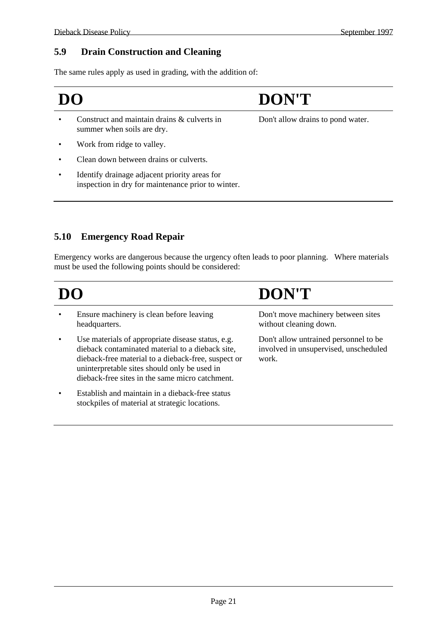#### **5.9 Drain Construction and Cleaning**

The same rules apply as used in grading, with the addition of:

# **DO DON'T**

- Construct and maintain drains & culverts in summer when soils are dry.
- Work from ridge to valley.
- Clean down between drains or culverts.
- Identify drainage adjacent priority areas for inspection in dry for maintenance prior to winter.

Don't allow drains to pond water.

### **5.10 Emergency Road Repair**

Emergency works are dangerous because the urgency often leads to poor planning. Where materials must be used the following points should be considered:

| DO |                                                                                                                                                                                                                                                                 | DON'T                                                                                   |
|----|-----------------------------------------------------------------------------------------------------------------------------------------------------------------------------------------------------------------------------------------------------------------|-----------------------------------------------------------------------------------------|
|    | Ensure machinery is clean before leaving<br>headquarters.                                                                                                                                                                                                       | Don't move machinery between sites<br>without cleaning down.                            |
|    | Use materials of appropriate disease status, e.g.<br>dieback contaminated material to a dieback site,<br>dieback-free material to a dieback-free, suspect or<br>uninterpretable sites should only be used in<br>dieback-free sites in the same micro catchment. | Don't allow untrained personnel to be<br>involved in unsupervised, unscheduled<br>work. |
|    | Establish and maintain in a dieback-free status<br>stockpiles of material at strategic locations.                                                                                                                                                               |                                                                                         |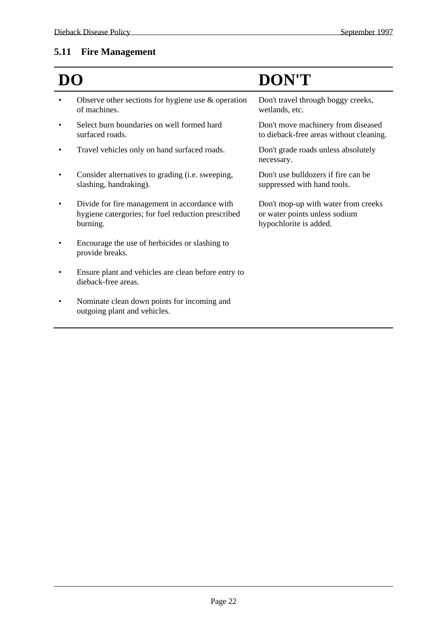#### **5.11 Fire Management**

- Observe other sections for hygiene use  $\&$  operation of machines.
- Select burn boundaries on well formed hard surfaced roads.
- Travel vehicles only on hand surfaced roads. Don't grade roads unless absolutely
- Consider alternatives to grading (i.e. sweeping, slashing, handraking).
- Divide for fire management in accordance with hygiene catergories; for fuel reduction prescribed burning.
- Encourage the use of herbicides or slashing to provide breaks.
- Ensure plant and vehicles are clean before entry to dieback-free areas.
- Nominate clean down points for incoming and outgoing plant and vehicles.

# **DO DON'T**

Don't travel through boggy creeks, wetlands, etc. Don't move machinery from diseased to dieback-free areas without cleaning. necessary. Don't use bulldozers if fire can be suppressed with hand tools. Don't mop-up with water from creeks or water points unless sodium hypochlorite is added.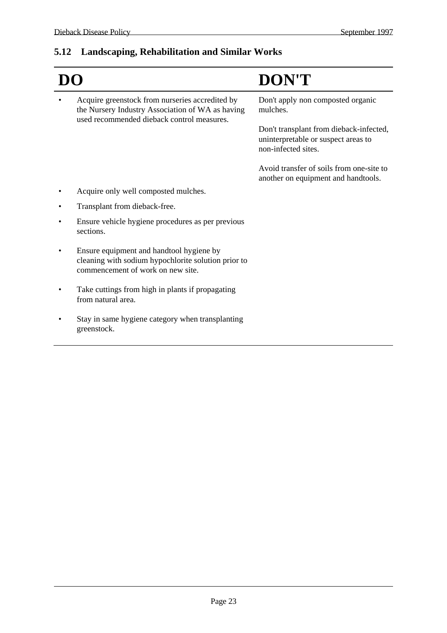# **5.12 Landscaping, Rehabilitation and Similar Works**

|                                                                                                                                                   | <b>DON'T</b>                                                                                          |
|---------------------------------------------------------------------------------------------------------------------------------------------------|-------------------------------------------------------------------------------------------------------|
| Acquire greenstock from nurseries accredited by<br>the Nursery Industry Association of WA as having<br>used recommended dieback control measures. | Don't apply non composted organic<br>mulches.                                                         |
|                                                                                                                                                   | Don't transplant from dieback-infected,<br>uninterpretable or suspect areas to<br>non-infected sites. |
|                                                                                                                                                   | Avoid transfer of soils from one-site to<br>another on equipment and handtools.                       |
| Acquire only well composted mulches.                                                                                                              |                                                                                                       |
| Transplant from dieback-free.                                                                                                                     |                                                                                                       |
| Ensure vehicle hygiene procedures as per previous<br>sections.                                                                                    |                                                                                                       |
| Ensure equipment and handtool hygiene by<br>cleaning with sodium hypochlorite solution prior to<br>commencement of work on new site.              |                                                                                                       |
| Take cuttings from high in plants if propagating<br>from natural area.                                                                            |                                                                                                       |
| Stay in same hygiene category when transplanting<br>greenstock.                                                                                   |                                                                                                       |